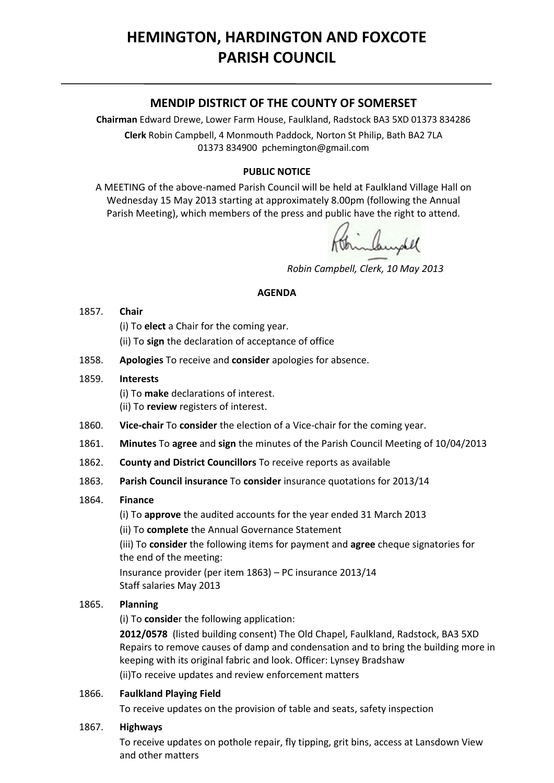# **HEMINGTON, HARDINGTON AND FOXCOTE PARISH COUNCIL**

# **MENDIP DISTRICT OF THE COUNTY OF SOMERSET**

**Chairman** Edward Drewe, Lower Farm House, Faulkland, Radstock BA3 5XD 01373 834286 **Clerk** Robin Campbell, 4 Monmouth Paddock, Norton St Philip, Bath BA2 7LA 01373 834900 [pchemington@gmail.com](mailto:pchemington@gmail.com)

## **PUBLIC NOTICE**

A MEETING of the above-named Parish Council will be held at Faulkland Village Hall on Wednesday 15 May 2013 starting at approximately 8.00pm (following the Annual Parish Meeting), which members of the press and public have the right to attend.

alanghel

 *Robin Campbell, Clerk, 10 May 2013*

### **AGENDA**

#### 1857. **Chair**

- (i) To **elect** a Chair for the coming year.
- (ii) To **sign** the declaration of acceptance of office
- 1858. **Apologies** To receive and **consider** apologies for absence.

### 1859. **Interests**

(i) To **make** declarations of interest.

- (ii) To **review** registers of interest.
- 1860. **Vice-chair** To **consider** the election of a Vice-chair for the coming year.
- 1861. **Minutes** To **agree** and **sign** the minutes of the Parish Council Meeting of 10/04/2013
- 1862. **County and District Councillors** To receive reports as available
- 1863. **Parish Council insurance** To **consider** insurance quotations for 2013/14

### 1864. **Finance**

(i) To **approve** the audited accounts for the year ended 31 March 2013

(ii) To **complete** the Annual Governance Statement

(iii) To **consider** the following items for payment and **agree** cheque signatories for the end of the meeting:

Insurance provider (per item 1863) – PC insurance 2013/14 Staff salaries May 2013

### 1865. **Planning**

(i) To **conside**r the following application:

**2012/0578** (listed building consent) The Old Chapel, Faulkland, Radstock, BA3 5XD Repairs to remove causes of damp and condensation and to bring the building more in keeping with its original fabric and look. Officer: Lynsey Bradshaw (ii)To receive updates and review enforcement matters

### 1866. **Faulkland Playing Field**

To receive updates on the provision of table and seats, safety inspection

### 1867. **Highways**

To receive updates on pothole repair, fly tipping, grit bins, access at Lansdown View and other matters